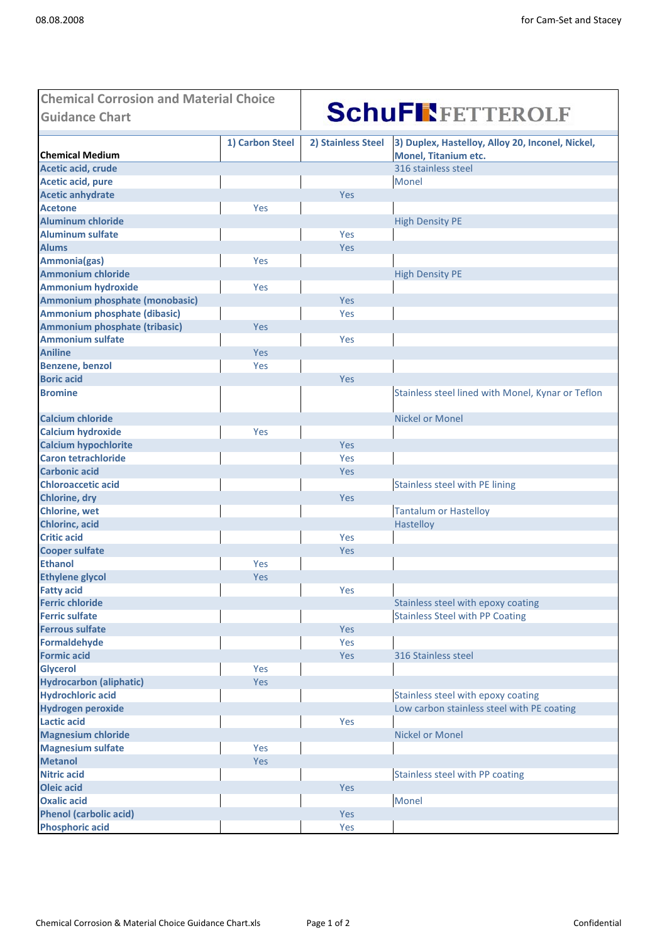| <b>Guidance Chart</b><br>3) Duplex, Hastelloy, Alloy 20, Inconel, Nickel,<br>1) Carbon Steel<br>2) Stainless Steel<br><b>Chemical Medium</b><br><b>Monel, Titanium etc.</b><br>Acetic acid, crude<br>316 stainless steel<br><b>Acetic acid, pure</b><br>Monel<br><b>Acetic anhydrate</b><br>Yes<br><b>Acetone</b><br>Yes<br><b>Aluminum chloride</b><br><b>High Density PE</b><br><b>Aluminum sulfate</b><br>Yes<br><b>Alums</b><br>Yes<br>Ammonia(gas)<br>Yes<br><b>Ammonium chloride</b><br><b>High Density PE</b><br><b>Ammonium hydroxide</b><br>Yes<br>Ammonium phosphate (monobasic)<br><b>Yes</b><br>Ammonium phosphate (dibasic)<br>Yes<br>Ammonium phosphate (tribasic)<br>Yes<br><b>Ammonium sulfate</b><br>Yes<br><b>Aniline</b><br>Yes<br><b>Benzene, benzol</b><br>Yes<br><b>Boric acid</b><br>Yes<br><b>Bromine</b><br>Stainless steel lined with Monel, Kynar or Teflon<br><b>Calcium chloride</b><br><b>Nickel or Monel</b><br><b>Calcium hydroxide</b><br>Yes<br><b>Calcium hypochlorite</b><br>Yes<br><b>Caron tetrachloride</b><br>Yes<br><b>Carbonic acid</b><br>Yes<br><b>Chloroaccetic acid</b><br><b>Stainless steel with PE lining</b><br>Yes<br><b>Chlorine, dry</b><br><b>Chlorine, wet</b><br><b>Tantalum or Hastelloy</b><br><b>Chlorinc, acid</b><br>Hastelloy<br><b>Critic acid</b><br>Yes<br><b>Cooper sulfate</b><br>Yes<br>Yes<br>Yes<br>Yes<br>Stainless steel with epoxy coating<br><b>Stainless Steel with PP Coating</b><br><b>Ferrous sulfate</b><br>Yes<br><b>Formaldehyde</b><br>Yes<br>Yes<br>316 Stainless steel<br><b>Glycerol</b><br>Yes<br>Yes<br><b>Hydrochloric acid</b><br>Stainless steel with epoxy coating<br><b>Hydrogen peroxide</b><br>Low carbon stainless steel with PE coating<br><b>Lactic acid</b><br>Yes<br><b>Magnesium chloride</b><br><b>Nickel or Monel</b><br><b>Magnesium sulfate</b><br>Yes<br><b>Metanol</b><br>Yes<br><b>Nitric acid</b><br>Stainless steel with PP coating<br><b>Oleic acid</b><br>Yes<br>Monel<br><b>Oxalic acid</b><br><b>Phenol (carbolic acid)</b><br>Yes<br><b>Phosphoric acid</b><br>Yes | <b>Chemical Corrosion and Material Choice</b> |  |                        |  |
|--------------------------------------------------------------------------------------------------------------------------------------------------------------------------------------------------------------------------------------------------------------------------------------------------------------------------------------------------------------------------------------------------------------------------------------------------------------------------------------------------------------------------------------------------------------------------------------------------------------------------------------------------------------------------------------------------------------------------------------------------------------------------------------------------------------------------------------------------------------------------------------------------------------------------------------------------------------------------------------------------------------------------------------------------------------------------------------------------------------------------------------------------------------------------------------------------------------------------------------------------------------------------------------------------------------------------------------------------------------------------------------------------------------------------------------------------------------------------------------------------------------------------------------------------------------------------------------------------------------------------------------------------------------------------------------------------------------------------------------------------------------------------------------------------------------------------------------------------------------------------------------------------------------------------------------------------------------------------------------------------------------------------------------------------------------------------------------|-----------------------------------------------|--|------------------------|--|
|                                                                                                                                                                                                                                                                                                                                                                                                                                                                                                                                                                                                                                                                                                                                                                                                                                                                                                                                                                                                                                                                                                                                                                                                                                                                                                                                                                                                                                                                                                                                                                                                                                                                                                                                                                                                                                                                                                                                                                                                                                                                                      |                                               |  | <b>SchuFREETTEROLF</b> |  |
|                                                                                                                                                                                                                                                                                                                                                                                                                                                                                                                                                                                                                                                                                                                                                                                                                                                                                                                                                                                                                                                                                                                                                                                                                                                                                                                                                                                                                                                                                                                                                                                                                                                                                                                                                                                                                                                                                                                                                                                                                                                                                      |                                               |  |                        |  |
|                                                                                                                                                                                                                                                                                                                                                                                                                                                                                                                                                                                                                                                                                                                                                                                                                                                                                                                                                                                                                                                                                                                                                                                                                                                                                                                                                                                                                                                                                                                                                                                                                                                                                                                                                                                                                                                                                                                                                                                                                                                                                      |                                               |  |                        |  |
|                                                                                                                                                                                                                                                                                                                                                                                                                                                                                                                                                                                                                                                                                                                                                                                                                                                                                                                                                                                                                                                                                                                                                                                                                                                                                                                                                                                                                                                                                                                                                                                                                                                                                                                                                                                                                                                                                                                                                                                                                                                                                      |                                               |  |                        |  |
|                                                                                                                                                                                                                                                                                                                                                                                                                                                                                                                                                                                                                                                                                                                                                                                                                                                                                                                                                                                                                                                                                                                                                                                                                                                                                                                                                                                                                                                                                                                                                                                                                                                                                                                                                                                                                                                                                                                                                                                                                                                                                      |                                               |  |                        |  |
|                                                                                                                                                                                                                                                                                                                                                                                                                                                                                                                                                                                                                                                                                                                                                                                                                                                                                                                                                                                                                                                                                                                                                                                                                                                                                                                                                                                                                                                                                                                                                                                                                                                                                                                                                                                                                                                                                                                                                                                                                                                                                      |                                               |  |                        |  |
|                                                                                                                                                                                                                                                                                                                                                                                                                                                                                                                                                                                                                                                                                                                                                                                                                                                                                                                                                                                                                                                                                                                                                                                                                                                                                                                                                                                                                                                                                                                                                                                                                                                                                                                                                                                                                                                                                                                                                                                                                                                                                      |                                               |  |                        |  |
|                                                                                                                                                                                                                                                                                                                                                                                                                                                                                                                                                                                                                                                                                                                                                                                                                                                                                                                                                                                                                                                                                                                                                                                                                                                                                                                                                                                                                                                                                                                                                                                                                                                                                                                                                                                                                                                                                                                                                                                                                                                                                      |                                               |  |                        |  |
|                                                                                                                                                                                                                                                                                                                                                                                                                                                                                                                                                                                                                                                                                                                                                                                                                                                                                                                                                                                                                                                                                                                                                                                                                                                                                                                                                                                                                                                                                                                                                                                                                                                                                                                                                                                                                                                                                                                                                                                                                                                                                      |                                               |  |                        |  |
|                                                                                                                                                                                                                                                                                                                                                                                                                                                                                                                                                                                                                                                                                                                                                                                                                                                                                                                                                                                                                                                                                                                                                                                                                                                                                                                                                                                                                                                                                                                                                                                                                                                                                                                                                                                                                                                                                                                                                                                                                                                                                      |                                               |  |                        |  |
|                                                                                                                                                                                                                                                                                                                                                                                                                                                                                                                                                                                                                                                                                                                                                                                                                                                                                                                                                                                                                                                                                                                                                                                                                                                                                                                                                                                                                                                                                                                                                                                                                                                                                                                                                                                                                                                                                                                                                                                                                                                                                      |                                               |  |                        |  |
|                                                                                                                                                                                                                                                                                                                                                                                                                                                                                                                                                                                                                                                                                                                                                                                                                                                                                                                                                                                                                                                                                                                                                                                                                                                                                                                                                                                                                                                                                                                                                                                                                                                                                                                                                                                                                                                                                                                                                                                                                                                                                      |                                               |  |                        |  |
|                                                                                                                                                                                                                                                                                                                                                                                                                                                                                                                                                                                                                                                                                                                                                                                                                                                                                                                                                                                                                                                                                                                                                                                                                                                                                                                                                                                                                                                                                                                                                                                                                                                                                                                                                                                                                                                                                                                                                                                                                                                                                      |                                               |  |                        |  |
|                                                                                                                                                                                                                                                                                                                                                                                                                                                                                                                                                                                                                                                                                                                                                                                                                                                                                                                                                                                                                                                                                                                                                                                                                                                                                                                                                                                                                                                                                                                                                                                                                                                                                                                                                                                                                                                                                                                                                                                                                                                                                      |                                               |  |                        |  |
|                                                                                                                                                                                                                                                                                                                                                                                                                                                                                                                                                                                                                                                                                                                                                                                                                                                                                                                                                                                                                                                                                                                                                                                                                                                                                                                                                                                                                                                                                                                                                                                                                                                                                                                                                                                                                                                                                                                                                                                                                                                                                      |                                               |  |                        |  |
|                                                                                                                                                                                                                                                                                                                                                                                                                                                                                                                                                                                                                                                                                                                                                                                                                                                                                                                                                                                                                                                                                                                                                                                                                                                                                                                                                                                                                                                                                                                                                                                                                                                                                                                                                                                                                                                                                                                                                                                                                                                                                      |                                               |  |                        |  |
|                                                                                                                                                                                                                                                                                                                                                                                                                                                                                                                                                                                                                                                                                                                                                                                                                                                                                                                                                                                                                                                                                                                                                                                                                                                                                                                                                                                                                                                                                                                                                                                                                                                                                                                                                                                                                                                                                                                                                                                                                                                                                      |                                               |  |                        |  |
|                                                                                                                                                                                                                                                                                                                                                                                                                                                                                                                                                                                                                                                                                                                                                                                                                                                                                                                                                                                                                                                                                                                                                                                                                                                                                                                                                                                                                                                                                                                                                                                                                                                                                                                                                                                                                                                                                                                                                                                                                                                                                      |                                               |  |                        |  |
|                                                                                                                                                                                                                                                                                                                                                                                                                                                                                                                                                                                                                                                                                                                                                                                                                                                                                                                                                                                                                                                                                                                                                                                                                                                                                                                                                                                                                                                                                                                                                                                                                                                                                                                                                                                                                                                                                                                                                                                                                                                                                      |                                               |  |                        |  |
|                                                                                                                                                                                                                                                                                                                                                                                                                                                                                                                                                                                                                                                                                                                                                                                                                                                                                                                                                                                                                                                                                                                                                                                                                                                                                                                                                                                                                                                                                                                                                                                                                                                                                                                                                                                                                                                                                                                                                                                                                                                                                      |                                               |  |                        |  |
|                                                                                                                                                                                                                                                                                                                                                                                                                                                                                                                                                                                                                                                                                                                                                                                                                                                                                                                                                                                                                                                                                                                                                                                                                                                                                                                                                                                                                                                                                                                                                                                                                                                                                                                                                                                                                                                                                                                                                                                                                                                                                      |                                               |  |                        |  |
|                                                                                                                                                                                                                                                                                                                                                                                                                                                                                                                                                                                                                                                                                                                                                                                                                                                                                                                                                                                                                                                                                                                                                                                                                                                                                                                                                                                                                                                                                                                                                                                                                                                                                                                                                                                                                                                                                                                                                                                                                                                                                      |                                               |  |                        |  |
|                                                                                                                                                                                                                                                                                                                                                                                                                                                                                                                                                                                                                                                                                                                                                                                                                                                                                                                                                                                                                                                                                                                                                                                                                                                                                                                                                                                                                                                                                                                                                                                                                                                                                                                                                                                                                                                                                                                                                                                                                                                                                      |                                               |  |                        |  |
|                                                                                                                                                                                                                                                                                                                                                                                                                                                                                                                                                                                                                                                                                                                                                                                                                                                                                                                                                                                                                                                                                                                                                                                                                                                                                                                                                                                                                                                                                                                                                                                                                                                                                                                                                                                                                                                                                                                                                                                                                                                                                      |                                               |  |                        |  |
|                                                                                                                                                                                                                                                                                                                                                                                                                                                                                                                                                                                                                                                                                                                                                                                                                                                                                                                                                                                                                                                                                                                                                                                                                                                                                                                                                                                                                                                                                                                                                                                                                                                                                                                                                                                                                                                                                                                                                                                                                                                                                      |                                               |  |                        |  |
|                                                                                                                                                                                                                                                                                                                                                                                                                                                                                                                                                                                                                                                                                                                                                                                                                                                                                                                                                                                                                                                                                                                                                                                                                                                                                                                                                                                                                                                                                                                                                                                                                                                                                                                                                                                                                                                                                                                                                                                                                                                                                      |                                               |  |                        |  |
|                                                                                                                                                                                                                                                                                                                                                                                                                                                                                                                                                                                                                                                                                                                                                                                                                                                                                                                                                                                                                                                                                                                                                                                                                                                                                                                                                                                                                                                                                                                                                                                                                                                                                                                                                                                                                                                                                                                                                                                                                                                                                      |                                               |  |                        |  |
|                                                                                                                                                                                                                                                                                                                                                                                                                                                                                                                                                                                                                                                                                                                                                                                                                                                                                                                                                                                                                                                                                                                                                                                                                                                                                                                                                                                                                                                                                                                                                                                                                                                                                                                                                                                                                                                                                                                                                                                                                                                                                      |                                               |  |                        |  |
|                                                                                                                                                                                                                                                                                                                                                                                                                                                                                                                                                                                                                                                                                                                                                                                                                                                                                                                                                                                                                                                                                                                                                                                                                                                                                                                                                                                                                                                                                                                                                                                                                                                                                                                                                                                                                                                                                                                                                                                                                                                                                      |                                               |  |                        |  |
|                                                                                                                                                                                                                                                                                                                                                                                                                                                                                                                                                                                                                                                                                                                                                                                                                                                                                                                                                                                                                                                                                                                                                                                                                                                                                                                                                                                                                                                                                                                                                                                                                                                                                                                                                                                                                                                                                                                                                                                                                                                                                      |                                               |  |                        |  |
|                                                                                                                                                                                                                                                                                                                                                                                                                                                                                                                                                                                                                                                                                                                                                                                                                                                                                                                                                                                                                                                                                                                                                                                                                                                                                                                                                                                                                                                                                                                                                                                                                                                                                                                                                                                                                                                                                                                                                                                                                                                                                      |                                               |  |                        |  |
|                                                                                                                                                                                                                                                                                                                                                                                                                                                                                                                                                                                                                                                                                                                                                                                                                                                                                                                                                                                                                                                                                                                                                                                                                                                                                                                                                                                                                                                                                                                                                                                                                                                                                                                                                                                                                                                                                                                                                                                                                                                                                      |                                               |  |                        |  |
|                                                                                                                                                                                                                                                                                                                                                                                                                                                                                                                                                                                                                                                                                                                                                                                                                                                                                                                                                                                                                                                                                                                                                                                                                                                                                                                                                                                                                                                                                                                                                                                                                                                                                                                                                                                                                                                                                                                                                                                                                                                                                      |                                               |  |                        |  |
|                                                                                                                                                                                                                                                                                                                                                                                                                                                                                                                                                                                                                                                                                                                                                                                                                                                                                                                                                                                                                                                                                                                                                                                                                                                                                                                                                                                                                                                                                                                                                                                                                                                                                                                                                                                                                                                                                                                                                                                                                                                                                      | <b>Ethanol</b>                                |  |                        |  |
|                                                                                                                                                                                                                                                                                                                                                                                                                                                                                                                                                                                                                                                                                                                                                                                                                                                                                                                                                                                                                                                                                                                                                                                                                                                                                                                                                                                                                                                                                                                                                                                                                                                                                                                                                                                                                                                                                                                                                                                                                                                                                      | <b>Ethylene glycol</b>                        |  |                        |  |
|                                                                                                                                                                                                                                                                                                                                                                                                                                                                                                                                                                                                                                                                                                                                                                                                                                                                                                                                                                                                                                                                                                                                                                                                                                                                                                                                                                                                                                                                                                                                                                                                                                                                                                                                                                                                                                                                                                                                                                                                                                                                                      | <b>Fatty acid</b>                             |  |                        |  |
|                                                                                                                                                                                                                                                                                                                                                                                                                                                                                                                                                                                                                                                                                                                                                                                                                                                                                                                                                                                                                                                                                                                                                                                                                                                                                                                                                                                                                                                                                                                                                                                                                                                                                                                                                                                                                                                                                                                                                                                                                                                                                      | <b>Ferric chloride</b>                        |  |                        |  |
|                                                                                                                                                                                                                                                                                                                                                                                                                                                                                                                                                                                                                                                                                                                                                                                                                                                                                                                                                                                                                                                                                                                                                                                                                                                                                                                                                                                                                                                                                                                                                                                                                                                                                                                                                                                                                                                                                                                                                                                                                                                                                      | <b>Ferric sulfate</b>                         |  |                        |  |
|                                                                                                                                                                                                                                                                                                                                                                                                                                                                                                                                                                                                                                                                                                                                                                                                                                                                                                                                                                                                                                                                                                                                                                                                                                                                                                                                                                                                                                                                                                                                                                                                                                                                                                                                                                                                                                                                                                                                                                                                                                                                                      |                                               |  |                        |  |
|                                                                                                                                                                                                                                                                                                                                                                                                                                                                                                                                                                                                                                                                                                                                                                                                                                                                                                                                                                                                                                                                                                                                                                                                                                                                                                                                                                                                                                                                                                                                                                                                                                                                                                                                                                                                                                                                                                                                                                                                                                                                                      |                                               |  |                        |  |
|                                                                                                                                                                                                                                                                                                                                                                                                                                                                                                                                                                                                                                                                                                                                                                                                                                                                                                                                                                                                                                                                                                                                                                                                                                                                                                                                                                                                                                                                                                                                                                                                                                                                                                                                                                                                                                                                                                                                                                                                                                                                                      | <b>Formic acid</b>                            |  |                        |  |
|                                                                                                                                                                                                                                                                                                                                                                                                                                                                                                                                                                                                                                                                                                                                                                                                                                                                                                                                                                                                                                                                                                                                                                                                                                                                                                                                                                                                                                                                                                                                                                                                                                                                                                                                                                                                                                                                                                                                                                                                                                                                                      |                                               |  |                        |  |
|                                                                                                                                                                                                                                                                                                                                                                                                                                                                                                                                                                                                                                                                                                                                                                                                                                                                                                                                                                                                                                                                                                                                                                                                                                                                                                                                                                                                                                                                                                                                                                                                                                                                                                                                                                                                                                                                                                                                                                                                                                                                                      | <b>Hydrocarbon (aliphatic)</b>                |  |                        |  |
|                                                                                                                                                                                                                                                                                                                                                                                                                                                                                                                                                                                                                                                                                                                                                                                                                                                                                                                                                                                                                                                                                                                                                                                                                                                                                                                                                                                                                                                                                                                                                                                                                                                                                                                                                                                                                                                                                                                                                                                                                                                                                      |                                               |  |                        |  |
|                                                                                                                                                                                                                                                                                                                                                                                                                                                                                                                                                                                                                                                                                                                                                                                                                                                                                                                                                                                                                                                                                                                                                                                                                                                                                                                                                                                                                                                                                                                                                                                                                                                                                                                                                                                                                                                                                                                                                                                                                                                                                      |                                               |  |                        |  |
|                                                                                                                                                                                                                                                                                                                                                                                                                                                                                                                                                                                                                                                                                                                                                                                                                                                                                                                                                                                                                                                                                                                                                                                                                                                                                                                                                                                                                                                                                                                                                                                                                                                                                                                                                                                                                                                                                                                                                                                                                                                                                      |                                               |  |                        |  |
|                                                                                                                                                                                                                                                                                                                                                                                                                                                                                                                                                                                                                                                                                                                                                                                                                                                                                                                                                                                                                                                                                                                                                                                                                                                                                                                                                                                                                                                                                                                                                                                                                                                                                                                                                                                                                                                                                                                                                                                                                                                                                      |                                               |  |                        |  |
|                                                                                                                                                                                                                                                                                                                                                                                                                                                                                                                                                                                                                                                                                                                                                                                                                                                                                                                                                                                                                                                                                                                                                                                                                                                                                                                                                                                                                                                                                                                                                                                                                                                                                                                                                                                                                                                                                                                                                                                                                                                                                      |                                               |  |                        |  |
|                                                                                                                                                                                                                                                                                                                                                                                                                                                                                                                                                                                                                                                                                                                                                                                                                                                                                                                                                                                                                                                                                                                                                                                                                                                                                                                                                                                                                                                                                                                                                                                                                                                                                                                                                                                                                                                                                                                                                                                                                                                                                      |                                               |  |                        |  |
|                                                                                                                                                                                                                                                                                                                                                                                                                                                                                                                                                                                                                                                                                                                                                                                                                                                                                                                                                                                                                                                                                                                                                                                                                                                                                                                                                                                                                                                                                                                                                                                                                                                                                                                                                                                                                                                                                                                                                                                                                                                                                      |                                               |  |                        |  |
|                                                                                                                                                                                                                                                                                                                                                                                                                                                                                                                                                                                                                                                                                                                                                                                                                                                                                                                                                                                                                                                                                                                                                                                                                                                                                                                                                                                                                                                                                                                                                                                                                                                                                                                                                                                                                                                                                                                                                                                                                                                                                      |                                               |  |                        |  |
|                                                                                                                                                                                                                                                                                                                                                                                                                                                                                                                                                                                                                                                                                                                                                                                                                                                                                                                                                                                                                                                                                                                                                                                                                                                                                                                                                                                                                                                                                                                                                                                                                                                                                                                                                                                                                                                                                                                                                                                                                                                                                      |                                               |  |                        |  |
|                                                                                                                                                                                                                                                                                                                                                                                                                                                                                                                                                                                                                                                                                                                                                                                                                                                                                                                                                                                                                                                                                                                                                                                                                                                                                                                                                                                                                                                                                                                                                                                                                                                                                                                                                                                                                                                                                                                                                                                                                                                                                      |                                               |  |                        |  |
|                                                                                                                                                                                                                                                                                                                                                                                                                                                                                                                                                                                                                                                                                                                                                                                                                                                                                                                                                                                                                                                                                                                                                                                                                                                                                                                                                                                                                                                                                                                                                                                                                                                                                                                                                                                                                                                                                                                                                                                                                                                                                      |                                               |  |                        |  |